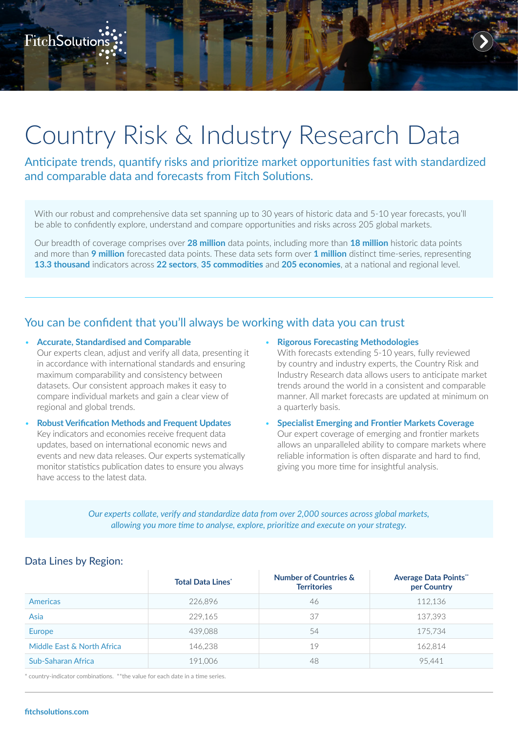# Country Risk & Industry Research Data

Anticipate trends, quantify risks and prioritize market opportunities fast with standardized and comparable data and forecasts from Fitch Solutions.

With our robust and comprehensive data set spanning up to 30 years of historic data and 5-10 year forecasts, you'll be able to confidently explore, understand and compare opportunities and risks across 205 global markets.

Our breadth of coverage comprises over **28 million** data points, including more than **18 million** historic data points and more than **9 million** forecasted data points. These data sets form over **1 million** distinct time-series, representing **13.3 thousand** indicators across **22 sectors**, **35 commodities** and **205 economies**, at a national and regional level.

## You can be confident that you'll always be working with data you can trust

- **Accurate, Standardised and Comparable** Our experts clean, adjust and verify all data, presenting it in accordance with international standards and ensuring maximum comparability and consistency between datasets. Our consistent approach makes it easy to compare individual markets and gain a clear view of regional and global trends.
- **Robust Verification Methods and Frequent Updates** Key indicators and economies receive frequent data updates, based on international economic news and events and new data releases. Our experts systematically monitor statistics publication dates to ensure you always have access to the latest data.
- **Rigorous Forecasting Methodologies**

With forecasts extending 5-10 years, fully reviewed by country and industry experts, the Country Risk and Industry Research data allows users to anticipate market trends around the world in a consistent and comparable manner. All market forecasts are updated at minimum on a quarterly basis.

• **Specialist Emerging and Frontier Markets Coverage** Our expert coverage of emerging and frontier markets allows an unparalleled ability to compare markets where reliable information is often disparate and hard to find, giving you more time for insightful analysis.

*Our experts collate, verify and standardize data from over 2,000 sources across global markets, allowing you more time to analyse, explore, prioritize and execute on your strategy.*

### **Total Data Lines\* Number of Countries & Territories Average Data Points\*\* per Country** Americas 226,896 46 112,136 Asia 229,165 37 137,393 Europe 439,088 54 175,734 Middle East & North Africa 146.238 19 19 19 162.814 Sub-Saharan Africa 191,006 48 95,441

## Data Lines by Region:

country-indicator combinations. \*\*the value for each date in a time series.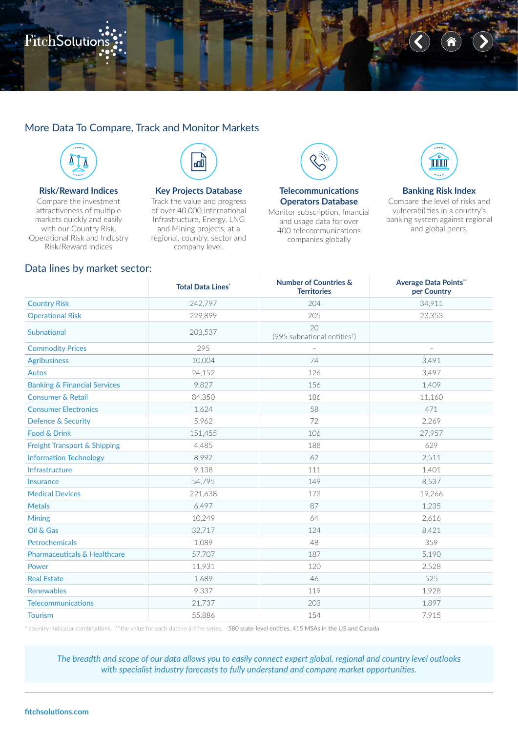## ہے۔<br>FitchSolution

## More Data To Compare, Track and Monitor Markets



#### **Risk/Reward Indices**

Compare the investment attractiveness of multiple markets quickly and easily with our Country Risk, Operational Risk and Industry Risk/Reward Indices



#### **Key Projects Database**

Track the value and progress of over 40,000 international Infrastructure, Energy, LNG and Mining projects, at a regional, country, sector and company level.



#### **Telecommunications Operators Database**

Monitor subscription, financial and usage data for over 400 telecommunications companies globally



#### **Banking Risk Index**

Compare the level of risks and vulnerabilities in a country's banking system against regional and global peers.

#### Data lines by market sector:

|                                         | <b>Total Data Lines'</b> | <b>Number of Countries &amp;</b><br><b>Territories</b> | <b>Average Data Points"</b><br>per Country |
|-----------------------------------------|--------------------------|--------------------------------------------------------|--------------------------------------------|
| <b>Country Risk</b>                     | 242,797                  | 204                                                    | 34.911                                     |
| <b>Operational Risk</b>                 | 229,899                  | 205                                                    | 23,353                                     |
| Subnational                             | 203,537                  | 20<br>(995 subnational entities <sup>t</sup> )         |                                            |
| <b>Commodity Prices</b>                 | 295                      |                                                        |                                            |
| <b>Agribusiness</b>                     | 10,004                   | 74                                                     | 3,491                                      |
| <b>Autos</b>                            | 24,152                   | 126                                                    | 3,497                                      |
| <b>Banking &amp; Financial Services</b> | 9,827                    | 156                                                    | 1,409                                      |
| <b>Consumer &amp; Retail</b>            | 84,350                   | 186                                                    | 11,160                                     |
| <b>Consumer Electronics</b>             | 1,624                    | 58                                                     | 471                                        |
| <b>Defence &amp; Security</b>           | 5,962                    | 72                                                     | 2,269                                      |
| Food & Drink                            | 151,455                  | 106                                                    | 27,957                                     |
| Freight Transport & Shipping            | 4,485                    | 188                                                    | 629                                        |
| <b>Information Technology</b>           | 8,992                    | 62                                                     | 2,511                                      |
| Infrastructure                          | 9,138                    | 111                                                    | 1,401                                      |
| <b>Insurance</b>                        | 54.795                   | 149                                                    | 8,537                                      |
| <b>Medical Devices</b>                  | 221,638                  | 173                                                    | 19,266                                     |
| <b>Metals</b>                           | 6,497                    | 87                                                     | 1,235                                      |
| <b>Mining</b>                           | 10,249                   | 64                                                     | 2,616                                      |
| Oil & Gas                               | 32,717                   | 124                                                    | 8,421                                      |
| <b>Petrochemicals</b>                   | 1.089                    | 48                                                     | 359                                        |
| <b>Pharmaceuticals &amp; Healthcare</b> | 57,707                   | 187                                                    | 5,190                                      |
| Power                                   | 11,931                   | 120                                                    | 2,528                                      |
| <b>Real Estate</b>                      | 1,689                    | 46                                                     | 525                                        |
| <b>Renewables</b>                       | 9,337                    | 119                                                    | 1,928                                      |
| <b>Telecommunications</b>               | 21,737                   | 203                                                    | 1,897                                      |
| <b>Tourism</b>                          | 55,886                   | 154                                                    | 7,915                                      |

\* country-indicator combinations. \*\*the value for each date in a time series. †580 state-level entities, 415 MSAs in the US and Canada

*The breadth and scope of our data allows you to easily connect expert global, regional and country level outlooks with specialist industry forecasts to fully understand and compare market opportunities.*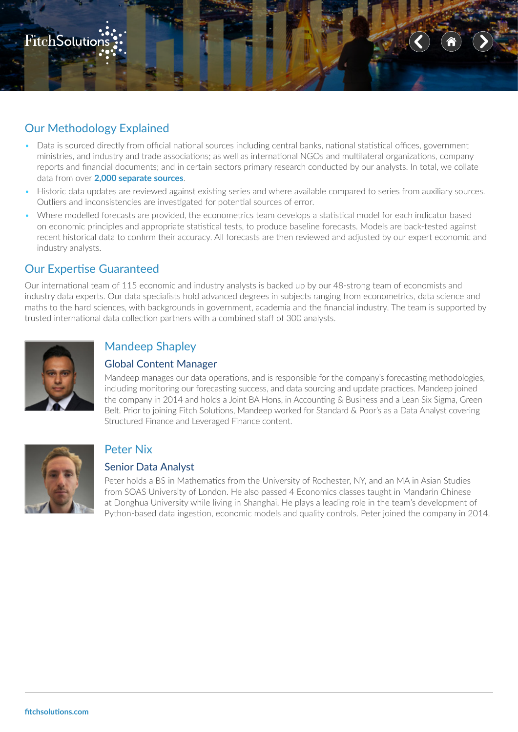

## Our Methodology Explained

- Data is sourced directly from official national sources including central banks, national statistical offices, government ministries, and industry and trade associations; as well as international NGOs and multilateral organizations, company reports and financial documents; and in certain sectors primary research conducted by our analysts. In total, we collate data from over **2,000 separate sources**.
- Historic data updates are reviewed against existing series and where available compared to series from auxiliary sources. Outliers and inconsistencies are investigated for potential sources of error.
- Where modelled forecasts are provided, the econometrics team develops a statistical model for each indicator based on economic principles and appropriate statistical tests, to produce baseline forecasts. Models are back-tested against recent historical data to confirm their accuracy. All forecasts are then reviewed and adjusted by our expert economic and industry analysts.

## Our Expertise Guaranteed

Our international team of 115 economic and industry analysts is backed up by our 48-strong team of economists and industry data experts. Our data specialists hold advanced degrees in subjects ranging from econometrics, data science and maths to the hard sciences, with backgrounds in government, academia and the financial industry. The team is supported by trusted international data collection partners with a combined staff of 300 analysts.



## Mandeep Shapley

### Global Content Manager

Mandeep manages our data operations, and is responsible for the company's forecasting methodologies, including monitoring our forecasting success, and data sourcing and update practices. Mandeep joined the company in 2014 and holds a Joint BA Hons, in Accounting & Business and a Lean Six Sigma, Green Belt. Prior to joining Fitch Solutions, Mandeep worked for Standard & Poor's as a Data Analyst covering Structured Finance and Leveraged Finance content.



## Peter Nix

## Senior Data Analyst

Peter holds a BS in Mathematics from the University of Rochester, NY, and an MA in Asian Studies from SOAS University of London. He also passed 4 Economics classes taught in Mandarin Chinese at Donghua University while living in Shanghai. He plays a leading role in the team's development of Python-based data ingestion, economic models and quality controls. Peter joined the company in 2014.